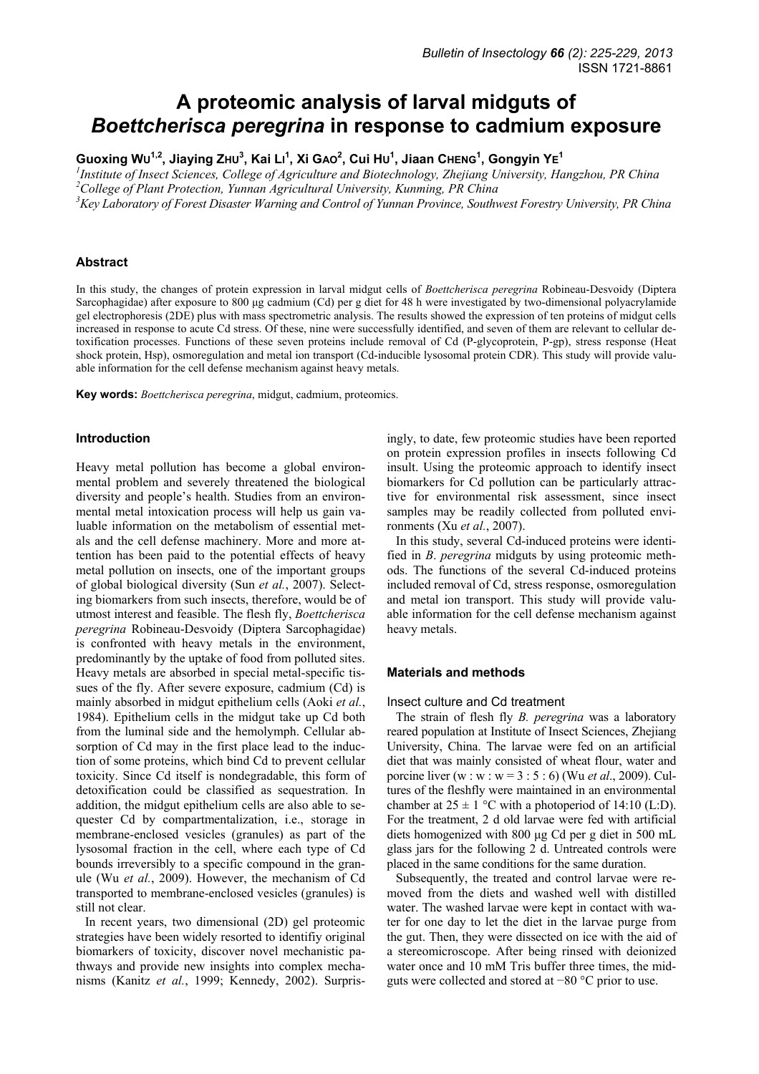# **A proteomic analysis of larval midguts of**  *Boettcherisca peregrina* **in response to cadmium exposure**

Guoxing Wu<sup>1,2</sup>, Jiaying ZHU<sup>3</sup>, Kai LI<sup>1</sup>, Xi GAO<sup>2</sup>, Cui HU<sup>1</sup>, Jiaan CHENG<sup>1</sup>, Gongyin YE<sup>1</sup>

<sup>1</sup> Institute of Insect Sciences, College of Agriculture and Biotechnology, Zhejiang University, Hangzhou, PR China *2 College of Plant Protection, Yunnan Agricultural University, Kunming, PR China* 

*3 Key Laboratory of Forest Disaster Warning and Control of Yunnan Province, Southwest Forestry University, PR China* 

# **Abstract**

In this study, the changes of protein expression in larval midgut cells of *Boettcherisca peregrina* Robineau-Desvoidy (Diptera Sarcophagidae) after exposure to 800 µg cadmium (Cd) per g diet for 48 h were investigated by two-dimensional polyacrylamide gel electrophoresis (2DE) plus with mass spectrometric analysis. The results showed the expression of ten proteins of midgut cells increased in response to acute Cd stress. Of these, nine were successfully identified, and seven of them are relevant to cellular detoxification processes. Functions of these seven proteins include removal of Cd (P-glycoprotein, P-gp), stress response (Heat shock protein, Hsp), osmoregulation and metal ion transport (Cd-inducible lysosomal protein CDR). This study will provide valuable information for the cell defense mechanism against heavy metals.

**Key words:** *Boettcherisca peregrina*, midgut, cadmium, proteomics.

# **Introduction**

Heavy metal pollution has become a global environmental problem and severely threatened the biological diversity and people's health. Studies from an environmental metal intoxication process will help us gain valuable information on the metabolism of essential metals and the cell defense machinery. More and more attention has been paid to the potential effects of heavy metal pollution on insects, one of the important groups of global biological diversity (Sun *et al.*, 2007). Selecting biomarkers from such insects, therefore, would be of utmost interest and feasible. The flesh fly, *Boettcherisca peregrina* Robineau-Desvoidy (Diptera Sarcophagidae) is confronted with heavy metals in the environment, predominantly by the uptake of food from polluted sites. Heavy metals are absorbed in special metal-specific tissues of the fly. After severe exposure, cadmium (Cd) is mainly absorbed in midgut epithelium cells (Aoki *et al.*, 1984). Epithelium cells in the midgut take up Cd both from the luminal side and the hemolymph. Cellular absorption of Cd may in the first place lead to the induction of some proteins, which bind Cd to prevent cellular toxicity. Since Cd itself is nondegradable, this form of detoxification could be classified as sequestration. In addition, the midgut epithelium cells are also able to sequester Cd by compartmentalization, i.e., storage in membrane-enclosed vesicles (granules) as part of the lysosomal fraction in the cell, where each type of Cd bounds irreversibly to a specific compound in the granule (Wu *et al.*, 2009). However, the mechanism of Cd transported to membrane-enclosed vesicles (granules) is still not clear.

In recent years, two dimensional (2D) gel proteomic strategies have been widely resorted to identifiy original biomarkers of toxicity, discover novel mechanistic pathways and provide new insights into complex mechanisms (Kanitz *et al.*, 1999; Kennedy, 2002). Surprisingly, to date, few proteomic studies have been reported on protein expression profiles in insects following Cd insult. Using the proteomic approach to identify insect biomarkers for Cd pollution can be particularly attractive for environmental risk assessment, since insect samples may be readily collected from polluted environments (Xu *et al.*, 2007).

In this study, several Cd-induced proteins were identified in *B*. *peregrina* midguts by using proteomic methods. The functions of the several Cd-induced proteins included removal of Cd, stress response, osmoregulation and metal ion transport. This study will provide valuable information for the cell defense mechanism against heavy metals.

## **Materials and methods**

## Insect culture and Cd treatment

The strain of flesh fly *B. peregrina* was a laboratory reared population at Institute of Insect Sciences, Zhejiang University, China. The larvae were fed on an artificial diet that was mainly consisted of wheat flour, water and porcine liver (w : w : w = 3 : 5 : 6) (Wu *et al*., 2009). Cultures of the fleshfly were maintained in an environmental chamber at  $25 \pm 1$  °C with a photoperiod of 14:10 (L:D). For the treatment, 2 d old larvae were fed with artificial diets homogenized with 800 µg Cd per g diet in 500 mL glass jars for the following 2 d. Untreated controls were placed in the same conditions for the same duration.

Subsequently, the treated and control larvae were removed from the diets and washed well with distilled water. The washed larvae were kept in contact with water for one day to let the diet in the larvae purge from the gut. Then, they were dissected on ice with the aid of a stereomicroscope. After being rinsed with deionized water once and 10 mM Tris buffer three times, the midguts were collected and stored at −80 °C prior to use.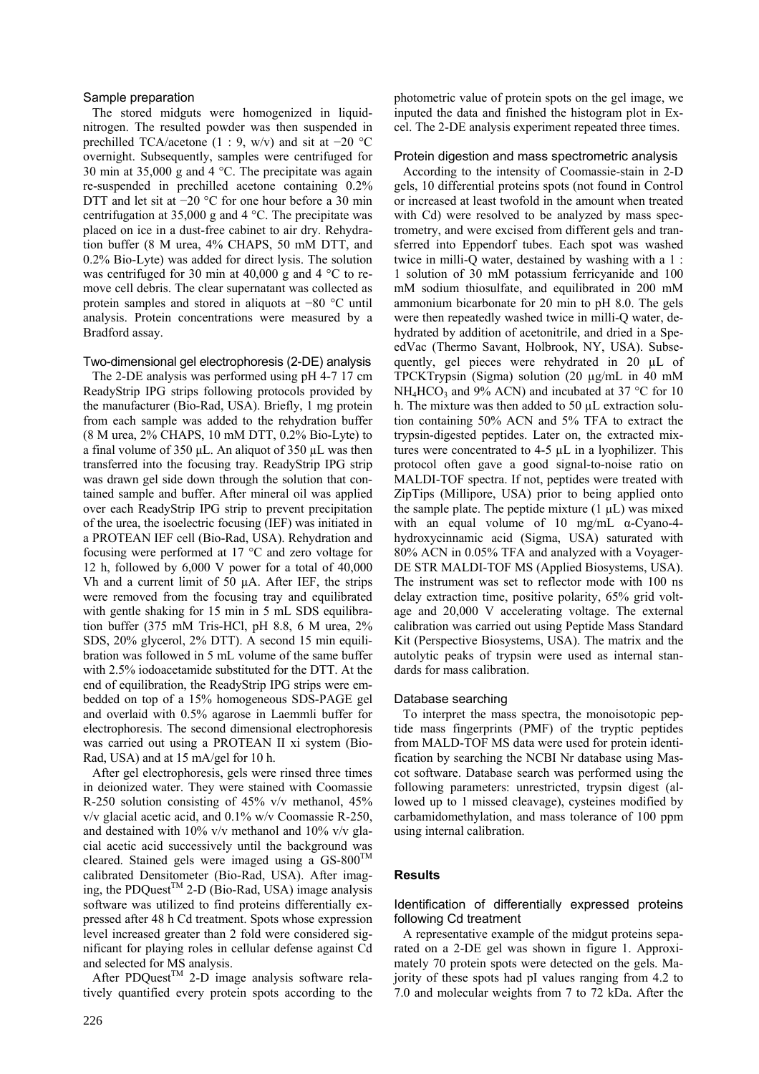# Sample preparation

The stored midguts were homogenized in liquidnitrogen. The resulted powder was then suspended in prechilled TCA/acetone (1 : 9, w/v) and sit at  $-20$  °C overnight. Subsequently, samples were centrifuged for 30 min at 35,000 g and 4 °C. The precipitate was again re-suspended in prechilled acetone containing 0.2% DTT and let sit at −20 °C for one hour before a 30 min centrifugation at 35,000 g and 4 °C. The precipitate was placed on ice in a dust-free cabinet to air dry. Rehydration buffer (8 M urea, 4% CHAPS, 50 mM DTT, and 0.2% Bio-Lyte) was added for direct lysis. The solution was centrifuged for 30 min at 40,000 g and 4 °C to remove cell debris. The clear supernatant was collected as protein samples and stored in aliquots at −80 °C until analysis. Protein concentrations were measured by a Bradford assay.

## Two-dimensional gel electrophoresis (2-DE) analysis

The 2-DE analysis was performed using pH 4-7 17 cm ReadyStrip IPG strips following protocols provided by the manufacturer (Bio-Rad, USA). Briefly, 1 mg protein from each sample was added to the rehydration buffer (8 M urea, 2% CHAPS, 10 mM DTT, 0.2% Bio-Lyte) to a final volume of 350 µL. An aliquot of 350 µL was then transferred into the focusing tray. ReadyStrip IPG strip was drawn gel side down through the solution that contained sample and buffer. After mineral oil was applied over each ReadyStrip IPG strip to prevent precipitation of the urea, the isoelectric focusing (IEF) was initiated in a PROTEAN IEF cell (Bio-Rad, USA). Rehydration and focusing were performed at 17 °C and zero voltage for 12 h, followed by 6,000 V power for a total of 40,000 Vh and a current limit of 50 µA. After IEF, the strips were removed from the focusing tray and equilibrated with gentle shaking for 15 min in 5 mL SDS equilibration buffer (375 mM Tris-HCl, pH 8.8, 6 M urea, 2% SDS, 20% glycerol, 2% DTT). A second 15 min equilibration was followed in 5 mL volume of the same buffer with 2.5% iodoacetamide substituted for the DTT. At the end of equilibration, the ReadyStrip IPG strips were embedded on top of a 15% homogeneous SDS-PAGE gel and overlaid with 0.5% agarose in Laemmli buffer for electrophoresis. The second dimensional electrophoresis was carried out using a PROTEAN II xi system (Bio-Rad, USA) and at 15 mA/gel for 10 h.

After gel electrophoresis, gels were rinsed three times in deionized water. They were stained with Coomassie R-250 solution consisting of 45% v/v methanol, 45% v/v glacial acetic acid, and 0.1% w/v Coomassie R-250, and destained with 10% v/v methanol and 10% v/v glacial acetic acid successively until the background was cleared. Stained gels were imaged using a  $GS-800^{TM}$ calibrated Densitometer (Bio-Rad, USA). After imaging, the PDQuest<sup>TM</sup> 2-D (Bio-Rad, USA) image analysis software was utilized to find proteins differentially expressed after 48 h Cd treatment. Spots whose expression level increased greater than 2 fold were considered significant for playing roles in cellular defense against Cd and selected for MS analysis.

After PDQuest<sup>TM</sup> 2-D image analysis software relatively quantified every protein spots according to the photometric value of protein spots on the gel image, we inputed the data and finished the histogram plot in Excel. The 2-DE analysis experiment repeated three times.

## Protein digestion and mass spectrometric analysis

According to the intensity of Coomassie-stain in 2-D gels, 10 differential proteins spots (not found in Control or increased at least twofold in the amount when treated with Cd) were resolved to be analyzed by mass spectrometry, and were excised from different gels and transferred into Eppendorf tubes. Each spot was washed twice in milli-Q water, destained by washing with a 1 : 1 solution of 30 mM potassium ferricyanide and 100 mM sodium thiosulfate, and equilibrated in 200 mM ammonium bicarbonate for 20 min to pH 8.0. The gels were then repeatedly washed twice in milli-Q water, dehydrated by addition of acetonitrile, and dried in a SpeedVac (Thermo Savant, Holbrook, NY, USA). Subsequently, gel pieces were rehydrated in 20 µL of TPCKTrypsin (Sigma) solution (20 µg/mL in 40 mM  $NH<sub>4</sub>HCO<sub>3</sub>$  and 9% ACN) and incubated at 37 °C for 10 h. The mixture was then added to 50 µL extraction solution containing 50% ACN and 5% TFA to extract the trypsin-digested peptides. Later on, the extracted mixtures were concentrated to 4-5 µL in a lyophilizer. This protocol often gave a good signal-to-noise ratio on MALDI-TOF spectra. If not, peptides were treated with ZipTips (Millipore, USA) prior to being applied onto the sample plate. The peptide mixture  $(1 \mu L)$  was mixed with an equal volume of 10 mg/mL α-Cyano-4 hydroxycinnamic acid (Sigma, USA) saturated with 80% ACN in 0.05% TFA and analyzed with a Voyager-DE STR MALDI-TOF MS (Applied Biosystems, USA). The instrument was set to reflector mode with 100 ns delay extraction time, positive polarity, 65% grid voltage and 20,000 V accelerating voltage. The external calibration was carried out using Peptide Mass Standard Kit (Perspective Biosystems, USA). The matrix and the autolytic peaks of trypsin were used as internal standards for mass calibration.

## Database searching

To interpret the mass spectra, the monoisotopic peptide mass fingerprints (PMF) of the tryptic peptides from MALD-TOF MS data were used for protein identification by searching the NCBI Nr database using Mascot software. Database search was performed using the following parameters: unrestricted, trypsin digest (allowed up to 1 missed cleavage), cysteines modified by carbamidomethylation, and mass tolerance of 100 ppm using internal calibration.

# **Results**

# Identification of differentially expressed proteins following Cd treatment

A representative example of the midgut proteins separated on a 2-DE gel was shown in figure 1. Approximately 70 protein spots were detected on the gels. Majority of these spots had pI values ranging from 4.2 to 7.0 and molecular weights from 7 to 72 kDa. After the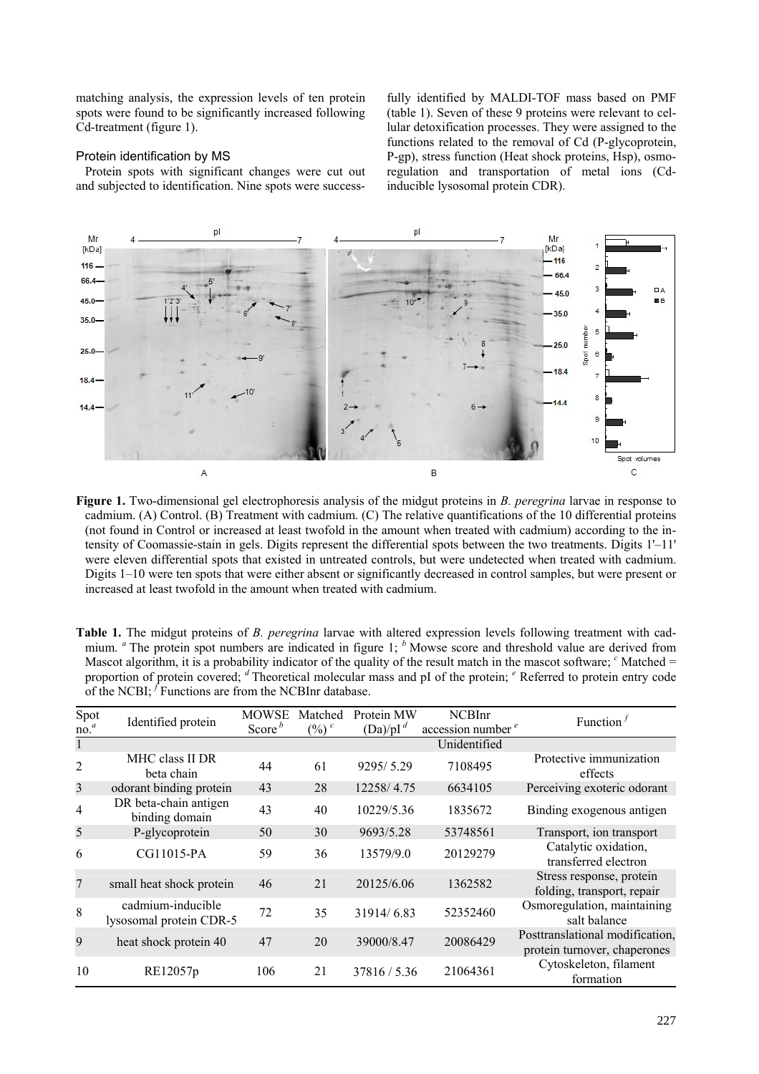matching analysis, the expression levels of ten protein spots were found to be significantly increased following Cd-treatment (figure 1).

## Protein identification by MS

Protein spots with significant changes were cut out and subjected to identification. Nine spots were success-

fully identified by MALDI-TOF mass based on PMF (table 1). Seven of these 9 proteins were relevant to cellular detoxification processes. They were assigned to the functions related to the removal of Cd (P-glycoprotein, P-gp), stress function (Heat shock proteins, Hsp), osmoregulation and transportation of metal ions (Cdinducible lysosomal protein CDR).



**Figure 1.** Two-dimensional gel electrophoresis analysis of the midgut proteins in *B. peregrina* larvae in response to cadmium. (A) Control. (B) Treatment with cadmium. (C) The relative quantifications of the 10 differential proteins (not found in Control or increased at least twofold in the amount when treated with cadmium) according to the intensity of Coomassie-stain in gels. Digits represent the differential spots between the two treatments. Digits 1'–11' were eleven differential spots that existed in untreated controls, but were undetected when treated with cadmium. Digits 1–10 were ten spots that were either absent or significantly decreased in control samples, but were present or increased at least twofold in the amount when treated with cadmium.

| Mascot algorithm, it is a probability indicator of the quality of the result match in the mascot software; Matched $=$<br>proportion of protein covered; d Theoretical molecular mass and pI of the protein; e Referred to protein entry code<br>of the NCBI; $f$ Functions are from the NCBInr database. |                                              |              |          |             |                               |                                                                 |
|-----------------------------------------------------------------------------------------------------------------------------------------------------------------------------------------------------------------------------------------------------------------------------------------------------------|----------------------------------------------|--------------|----------|-------------|-------------------------------|-----------------------------------------------------------------|
| Spot                                                                                                                                                                                                                                                                                                      | Identified protein                           | <b>MOWSE</b> | Matched  | Protein MW  | <b>NCBInr</b>                 | Function $f$                                                    |
| no. <sup>a</sup>                                                                                                                                                                                                                                                                                          |                                              | Score $b$    | $(\%)^c$ | $(Da)/pI^d$ | accession number <sup>e</sup> |                                                                 |
| $\mathbf{1}$                                                                                                                                                                                                                                                                                              |                                              |              |          |             | Unidentified                  |                                                                 |
| $\overline{2}$                                                                                                                                                                                                                                                                                            | MHC class II DR<br>beta chain                | 44           | 61       | 9295/5.29   | 7108495                       | Protective immunization<br>effects                              |
| $\overline{3}$                                                                                                                                                                                                                                                                                            | odorant binding protein                      | 43           | 28       | 12258/4.75  | 6634105                       | Perceiving exoteric odorant                                     |
| $\overline{4}$                                                                                                                                                                                                                                                                                            | DR beta-chain antigen<br>binding domain      | 43           | 40       | 10229/5.36  | 1835672                       | Binding exogenous antigen                                       |
| 5                                                                                                                                                                                                                                                                                                         | P-glycoprotein                               | 50           | 30       | 9693/5.28   | 53748561                      | Transport, ion transport                                        |
| 6                                                                                                                                                                                                                                                                                                         | CG11015-PA                                   | 59           | 36       | 13579/9.0   | 20129279                      | Catalytic oxidation.<br>transferred electron                    |
| $\overline{7}$                                                                                                                                                                                                                                                                                            | small heat shock protein                     | 46           | 21       | 20125/6.06  | 1362582                       | Stress response, protein<br>folding, transport, repair          |
| 8                                                                                                                                                                                                                                                                                                         | cadmium-inducible<br>lysosomal protein CDR-5 | 72           | 35       | 31914/6.83  | 52352460                      | Osmoregulation, maintaining<br>salt balance                     |
| 9                                                                                                                                                                                                                                                                                                         | heat shock protein 40                        | 47           | 20       | 39000/8.47  | 20086429                      | Posttranslational modification,<br>protein turnover, chaperones |

10 RE12057p 106 21 37816 / 5.36 21064361 Cytoskeleton, filament

**Table 1.** The midgut proteins of *B. peregrina* larvae with altered expression levels following treatment with cadmium. <sup>*a*</sup> The protein spot numbers are indicated in figure 1; <sup>*b*</sup> Mowse score and threshold value are derived from Mascot algorithm, it is a probability indicator of the quality of the result match in the mascot software; <sup>*c*</sup> Matched = Referred to protein entry code

formation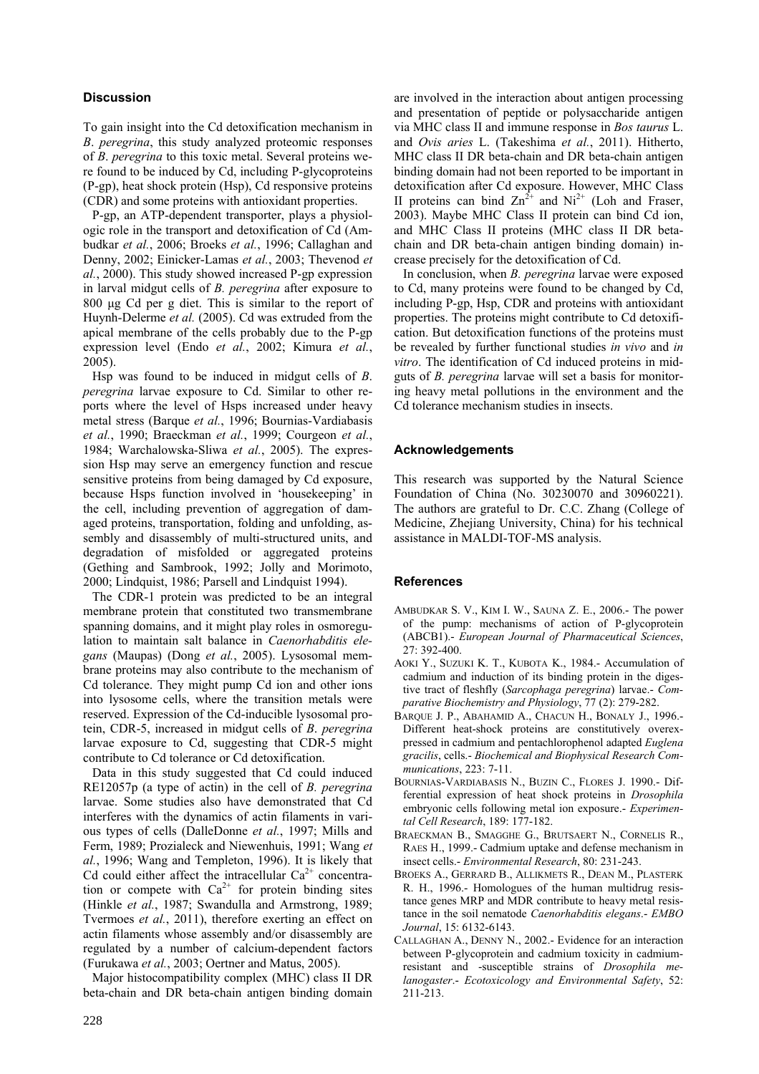# **Discussion**

To gain insight into the Cd detoxification mechanism in *B*. *peregrina*, this study analyzed proteomic responses of *B*. *peregrina* to this toxic metal. Several proteins were found to be induced by Cd, including P-glycoproteins (P-gp), heat shock protein (Hsp), Cd responsive proteins (CDR) and some proteins with antioxidant properties.

P-gp, an ATP-dependent transporter, plays a physiologic role in the transport and detoxification of Cd (Ambudkar *et al.*, 2006; Broeks *et al.*, 1996; Callaghan and Denny, 2002; Einicker-Lamas *et al.*, 2003; Thevenod *et al.*, 2000). This study showed increased P-gp expression in larval midgut cells of *B. peregrina* after exposure to 800 µg Cd per g diet. This is similar to the report of Huynh-Delerme *et al.* (2005). Cd was extruded from the apical membrane of the cells probably due to the P-gp expression level (Endo *et al.*, 2002; Kimura *et al.*, 2005).

Hsp was found to be induced in midgut cells of *B*. *peregrina* larvae exposure to Cd. Similar to other reports where the level of Hsps increased under heavy metal stress (Barque *et al.*, 1996; Bournias-Vardiabasis *et al.*, 1990; Braeckman *et al.*, 1999; Courgeon *et al.*, 1984; Warchalowska-Sliwa *et al.*, 2005). The expression Hsp may serve an emergency function and rescue sensitive proteins from being damaged by Cd exposure, because Hsps function involved in 'housekeeping' in the cell, including prevention of aggregation of damaged proteins, transportation, folding and unfolding, assembly and disassembly of multi-structured units, and degradation of misfolded or aggregated proteins (Gething and Sambrook, 1992; Jolly and Morimoto, 2000; Lindquist, 1986; Parsell and Lindquist 1994).

The CDR-1 protein was predicted to be an integral membrane protein that constituted two transmembrane spanning domains, and it might play roles in osmoregulation to maintain salt balance in *Caenorhabditis elegans* (Maupas) (Dong *et al.*, 2005). Lysosomal membrane proteins may also contribute to the mechanism of Cd tolerance. They might pump Cd ion and other ions into lysosome cells, where the transition metals were reserved. Expression of the Cd-inducible lysosomal protein, CDR-5, increased in midgut cells of *B*. *peregrina* larvae exposure to Cd, suggesting that CDR-5 might contribute to Cd tolerance or Cd detoxification.

Data in this study suggested that Cd could induced RE12057p (a type of actin) in the cell of *B. peregrina* larvae. Some studies also have demonstrated that Cd interferes with the dynamics of actin filaments in various types of cells (DalleDonne *et al.*, 1997; Mills and Ferm, 1989; Prozialeck and Niewenhuis, 1991; Wang *et al.*, 1996; Wang and Templeton, 1996). It is likely that Cd could either affect the intracellular  $Ca<sup>2+</sup>$  concentration or compete with  $Ca^{2+}$  for protein binding sites (Hinkle *et al.*, 1987; Swandulla and Armstrong, 1989; Tvermoes *et al.*, 2011), therefore exerting an effect on actin filaments whose assembly and/or disassembly are regulated by a number of calcium-dependent factors (Furukawa *et al.*, 2003; Oertner and Matus, 2005).

Major histocompatibility complex (MHC) class II DR beta-chain and DR beta-chain antigen binding domain are involved in the interaction about antigen processing and presentation of peptide or polysaccharide antigen via MHC class II and immune response in *Bos taurus* L. and *Ovis aries* L. (Takeshima *et al.*, 2011). Hitherto, MHC class II DR beta-chain and DR beta-chain antigen binding domain had not been reported to be important in detoxification after Cd exposure. However, MHC Class II proteins can bind  $Zn^{2+}$  and  $Ni^{2+}$  (Loh and Fraser, 2003). Maybe MHC Class II protein can bind Cd ion, and MHC Class II proteins (MHC class II DR betachain and DR beta-chain antigen binding domain) increase precisely for the detoxification of Cd.

In conclusion, when *B. peregrina* larvae were exposed to Cd, many proteins were found to be changed by Cd, including P-gp, Hsp, CDR and proteins with antioxidant properties. The proteins might contribute to Cd detoxification. But detoxification functions of the proteins must be revealed by further functional studies *in vivo* and *in vitro*. The identification of Cd induced proteins in midguts of *B. peregrina* larvae will set a basis for monitoring heavy metal pollutions in the environment and the Cd tolerance mechanism studies in insects.

# **Acknowledgements**

This research was supported by the Natural Science Foundation of China (No. 30230070 and 30960221). The authors are grateful to Dr. C.C. Zhang (College of Medicine, Zhejiang University, China) for his technical assistance in MALDI-TOF-MS analysis.

# **References**

- AMBUDKAR S. V., KIM I. W., SAUNA Z. E., 2006.- The power of the pump: mechanisms of action of P-glycoprotein (ABCB1).- *European Journal of Pharmaceutical Sciences*, 27: 392-400.
- AOKI Y., SUZUKI K. T., KUBOTA K., 1984.- Accumulation of cadmium and induction of its binding protein in the digestive tract of fleshfly (*Sarcophaga peregrina*) larvae.- *Comparative Biochemistry and Physiology*, 77 (2): 279-282.
- BARQUE J. P., ABAHAMID A., CHACUN H., BONALY J., 1996.- Different heat-shock proteins are constitutively overexpressed in cadmium and pentachlorophenol adapted *Euglena gracilis*, cells.- *Biochemical and Biophysical Research Communications*, 223: 7-11.
- BOURNIAS-VARDIABASIS N., BUZIN C., FLORES J. 1990.- Differential expression of heat shock proteins in *Drosophila* embryonic cells following metal ion exposure.- *Experimental Cell Research*, 189: 177-182.
- BRAECKMAN B., SMAGGHE G., BRUTSAERT N., CORNELIS R., RAES H., 1999.- Cadmium uptake and defense mechanism in insect cells.- *Environmental Research*, 80: 231-243.
- BROEKS A., GERRARD B., ALLIKMETS R., DEAN M., PLASTERK R. H., 1996.- Homologues of the human multidrug resistance genes MRP and MDR contribute to heavy metal resistance in the soil nematode *Caenorhabditis elegans*.- *EMBO Journal*, 15: 6132-6143.
- CALLAGHAN A., DENNY N., 2002.- Evidence for an interaction between P-glycoprotein and cadmium toxicity in cadmiumresistant and -susceptible strains of *Drosophila melanogaster*.- *Ecotoxicology and Environmental Safety*, 52: 211-213.